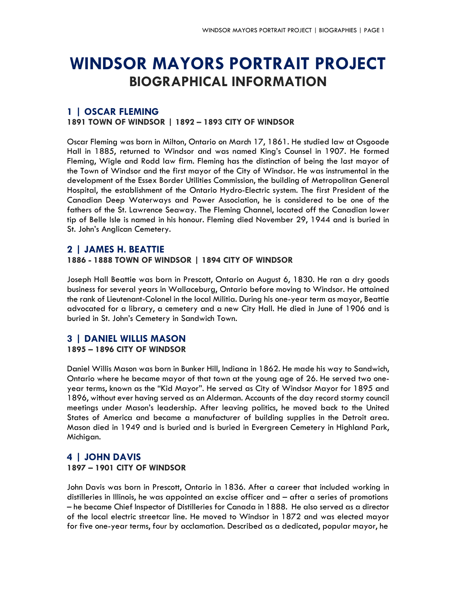# **WINDSOR MAYORS PORTRAIT PROJECT BIOGRAPHICAL INFORMATION**

## **1 | OSCAR FLEMING**

**1891 TOWN OF WINDSOR | 1892 – 1893 CITY OF WINDSOR**

Oscar Fleming was born in Milton, Ontario on March 17, 1861. He studied law at Osgoode Hall in 1885, returned to Windsor and was named King's Counsel in 1907. He formed Fleming, Wigle and Rodd law firm. Fleming has the distinction of being the last mayor of the Town of Windsor and the first mayor of the City of Windsor. He was instrumental in the development of the Essex Border Utilities Commission, the building of Metropolitan General Hospital, the establishment of the Ontario Hydro-Electric system. The first President of the Canadian Deep Waterways and Power Association, he is considered to be one of the fathers of the St. Lawrence Seaway. The Fleming Channel, located off the Canadian lower tip of Belle Isle is named in his honour. Fleming died November 29, 1944 and is buried in St. John's Anglican Cemetery.

## **2 | JAMES H. BEATTIE**

#### **1886 - 1888 TOWN OF WINDSOR | 1894 CITY OF WINDSOR**

Joseph Hall Beattie was born in Prescott, Ontario on August 6, 1830. He ran a dry goods business for several years in Wallaceburg, Ontario before moving to Windsor. He attained the rank of Lieutenant-Colonel in the local Militia. During his one-year term as mayor, Beattie advocated for a library, a cemetery and a new City Hall. He died in June of 1906 and is buried in St. John's Cemetery in Sandwich Town.

## **3 | DANIEL WILLIS MASON 1895 – 1896 CITY OF WINDSOR**

Daniel Willis Mason was born in Bunker Hill, Indiana in 1862. He made his way to Sandwich, Ontario where he became mayor of that town at the young age of 26. He served two oneyear terms, known as the "Kid Mayor". He served as City of Windsor Mayor for 1895 and 1896, without ever having served as an Alderman. Accounts of the day record stormy council meetings under Mason's leadership. After leaving politics, he moved back to the United States of America and became a manufacturer of building supplies in the Detroit area. Mason died in 1949 and is buried and is buried in Evergreen Cemetery in Highland Park, Michigan.

## **4 | JOHN DAVIS 1897 – 1901 CITY OF WINDSOR**

John Davis was born in Prescott, Ontario in 1836. After a career that included working in distilleries in Illinois, he was appointed an excise officer and – after a series of promotions – he became Chief Inspector of Distilleries for Canada in 1888. He also served as a director of the local electric streetcar line. He moved to Windsor in 1872 and was elected mayor for five one-year terms, four by acclamation. Described as a dedicated, popular mayor, he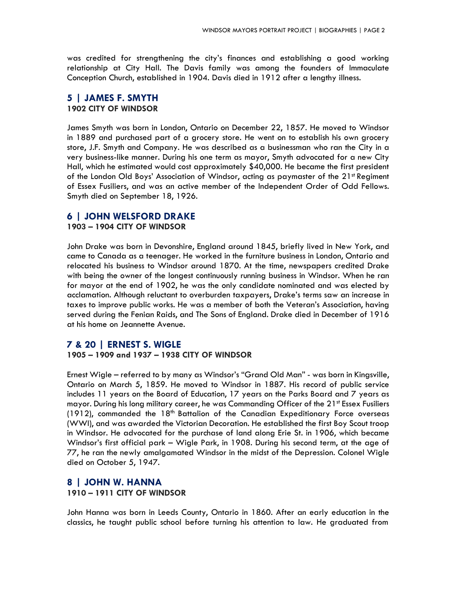was credited for strengthening the city's finances and establishing a good working relationship at City Hall. The Davis family was among the founders of Immaculate Conception Church, established in 1904. Davis died in 1912 after a lengthy illness.

#### **5 | JAMES F. SMYTH 1902 CITY OF WINDSOR**

James Smyth was born in London, Ontario on December 22, 1857. He moved to Windsor in 1889 and purchased part of a grocery store. He went on to establish his own grocery store, J.F. Smyth and Company. He was described as a businessman who ran the City in a very business-like manner. During his one term as mayor, Smyth advocated for a new City Hall, which he estimated would cost approximately \$40,000. He became the first president of the London Old Boys' Association of Windsor, acting as paymaster of the  $21<sup>st</sup>$  Regiment of Essex Fusiliers, and was an active member of the Independent Order of Odd Fellows. Smyth died on September 18, 1926.

## **6 | JOHN WELSFORD DRAKE**

#### **1903 – 1904 CITY OF WINDSOR**

John Drake was born in Devonshire, England around 1845, briefly lived in New York, and came to Canada as a teenager. He worked in the furniture business in London, Ontario and relocated his business to Windsor around 1870. At the time, newspapers credited Drake with being the owner of the longest continuously running business in Windsor. When he ran for mayor at the end of 1902, he was the only candidate nominated and was elected by acclamation. Although reluctant to overburden taxpayers, Drake's terms saw an increase in taxes to improve public works. He was a member of both the Veteran's Association, having served during the Fenian Raids, and The Sons of England. Drake died in December of 1916 at his home on Jeannette Avenue.

#### **7 & 20 | ERNEST S. WIGLE**

#### **1905 – 1909 and 1937 – 1938 CITY OF WINDSOR**

Ernest Wigle – referred to by many as Windsor's "Grand Old Man" - was born in Kingsville, Ontario on March 5, 1859. He moved to Windsor in 1887. His record of public service includes 11 years on the Board of Education, 17 years on the Parks Board and 7 years as mayor. During his long military career, he was Commanding Officer of the  $21<sup>st</sup>$  Essex Fusiliers (1912), commanded the  $18<sup>th</sup>$  Battalion of the Canadian Expeditionary Force overseas (WWI), and was awarded the Victorian Decoration. He established the first Boy Scout troop in Windsor. He advocated for the purchase of land along Erie St. in 1906, which became Windsor's first official park – Wigle Park, in 1908. During his second term, at the age of 77, he ran the newly amalgamated Windsor in the midst of the Depression. Colonel Wigle died on October 5, 1947.

#### **8 | JOHN W. HANNA 1910 – 1911 CITY OF WINDSOR**

John Hanna was born in Leeds County, Ontario in 1860. After an early education in the classics, he taught public school before turning his attention to law. He graduated from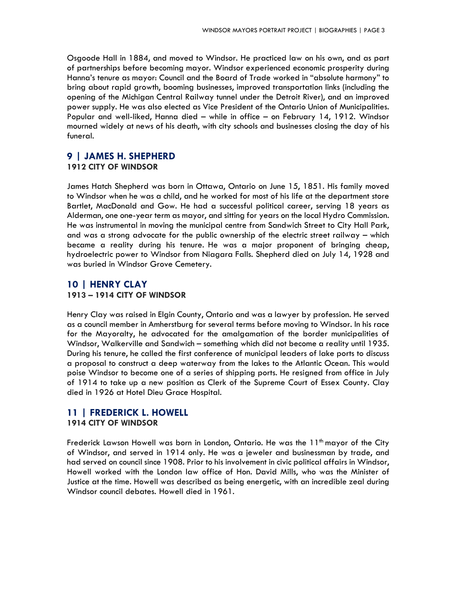Osgoode Hall in 1884, and moved to Windsor. He practiced law on his own, and as part of partnerships before becoming mayor. Windsor experienced economic prosperity during Hanna's tenure as mayor: Council and the Board of Trade worked in "absolute harmony" to bring about rapid growth, booming businesses, improved transportation links (including the opening of the Michigan Central Railway tunnel under the Detroit River), and an improved power supply. He was also elected as Vice President of the Ontario Union of Municipalities. Popular and well-liked, Hanna died – while in office – on February 14, 1912. Windsor mourned widely at news of his death, with city schools and businesses closing the day of his funeral.

## **9 | JAMES H. SHEPHERD**

#### **1912 CITY OF WINDSOR**

James Hatch Shepherd was born in Ottawa, Ontario on June 15, 1851. His family moved to Windsor when he was a child, and he worked for most of his life at the department store Bartlet, MacDonald and Gow. He had a successful political career, serving 18 years as Alderman, one one-year term as mayor, and sitting for years on the local Hydro Commission. He was instrumental in moving the municipal centre from Sandwich Street to City Hall Park, and was a strong advocate for the public ownership of the electric street railway – which became a reality during his tenure. He was a major proponent of bringing cheap, hydroelectric power to Windsor from Niagara Falls. Shepherd died on July 14, 1928 and was buried in Windsor Grove Cemetery.

## **10 | HENRY CLAY 1913 – 1914 CITY OF WINDSOR**

Henry Clay was raised in Elgin County, Ontario and was a lawyer by profession. He served as a council member in Amherstburg for several terms before moving to Windsor. In his race for the Mayoralty, he advocated for the amalgamation of the border municipalities of Windsor, Walkerville and Sandwich – something which did not become a reality until 1935. During his tenure, he called the first conference of municipal leaders of lake ports to discuss a proposal to construct a deep waterway from the lakes to the Atlantic Ocean. This would poise Windsor to become one of a series of shipping ports. He resigned from office in July of 1914 to take up a new position as Clerk of the Supreme Court of Essex County. Clay died in 1926 at Hotel Dieu Grace Hospital.

## **11 | FREDERICK L. HOWELL**

#### **1914 CITY OF WINDSOR**

Frederick Lawson Howell was born in London, Ontario. He was the  $11<sup>th</sup>$  mayor of the City of Windsor, and served in 1914 only. He was a jeweler and businessman by trade, and had served on council since 1908. Prior to his involvement in civic political affairs in Windsor, Howell worked with the London law office of Hon. David Mills, who was the Minister of Justice at the time. Howell was described as being energetic, with an incredible zeal during Windsor council debates. Howell died in 1961.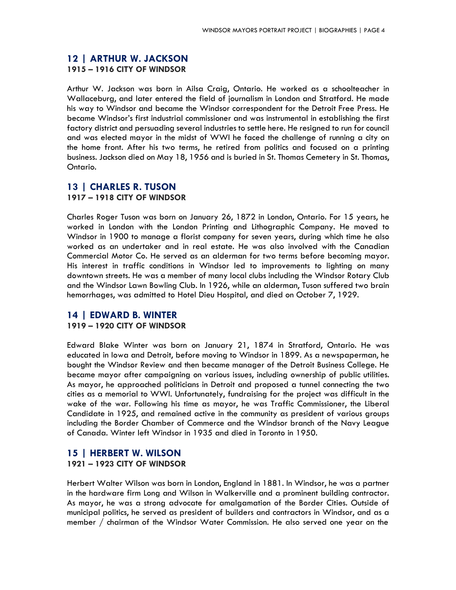#### **12 | ARTHUR W. JACKSON 1915 – 1916 CITY OF WINDSOR**

Arthur W. Jackson was born in Ailsa Craig, Ontario. He worked as a schoolteacher in Wallaceburg, and later entered the field of journalism in London and Stratford. He made his way to Windsor and became the Windsor correspondent for the Detroit Free Press. He became Windsor's first industrial commissioner and was instrumental in establishing the first factory district and persuading several industries to settle here. He resigned to run for council and was elected mayor in the midst of WWI he faced the challenge of running a city on the home front. After his two terms, he retired from politics and focused on a printing business. Jackson died on May 18, 1956 and is buried in St. Thomas Cemetery in St. Thomas, Ontario.

## **13 | CHARLES R. TUSON 1917 – 1918 CITY OF WINDSOR**

Charles Roger Tuson was born on January 26, 1872 in London, Ontario. For 15 years, he worked in London with the London Printing and Lithographic Company. He moved to Windsor in 1900 to manage a florist company for seven years, during which time he also worked as an undertaker and in real estate. He was also involved with the Canadian Commercial Motor Co. He served as an alderman for two terms before becoming mayor. His interest in traffic conditions in Windsor led to improvements to lighting on many downtown streets. He was a member of many local clubs including the Windsor Rotary Club and the Windsor Lawn Bowling Club. In 1926, while an alderman, Tuson suffered two brain hemorrhages, was admitted to Hotel Dieu Hospital, and died on October 7, 1929.

## **14 | EDWARD B. WINTER 1919 – 1920 CITY OF WINDSOR**

Edward Blake Winter was born on January 21, 1874 in Stratford, Ontario. He was educated in Iowa and Detroit, before moving to Windsor in 1899. As a newspaperman, he bought the Windsor Review and then became manager of the Detroit Business College. He became mayor after campaigning on various issues, including ownership of public utilities. As mayor, he approached politicians in Detroit and proposed a tunnel connecting the two cities as a memorial to WWI. Unfortunately, fundraising for the project was difficult in the wake of the war. Following his time as mayor, he was Traffic Commissioner, the Liberal Candidate in 1925, and remained active in the community as president of various groups including the Border Chamber of Commerce and the Windsor branch of the Navy League of Canada. Winter left Windsor in 1935 and died in Toronto in 1950.

#### **15 | HERBERT W. WILSON**

#### **1921 – 1923 CITY OF WINDSOR**

Herbert Walter Wilson was born in London, England in 1881. In Windsor, he was a partner in the hardware firm Long and Wilson in Walkerville and a prominent building contractor. As mayor, he was a strong advocate for amalgamation of the Border Cities. Outside of municipal politics, he served as president of builders and contractors in Windsor, and as a member / chairman of the Windsor Water Commission. He also served one year on the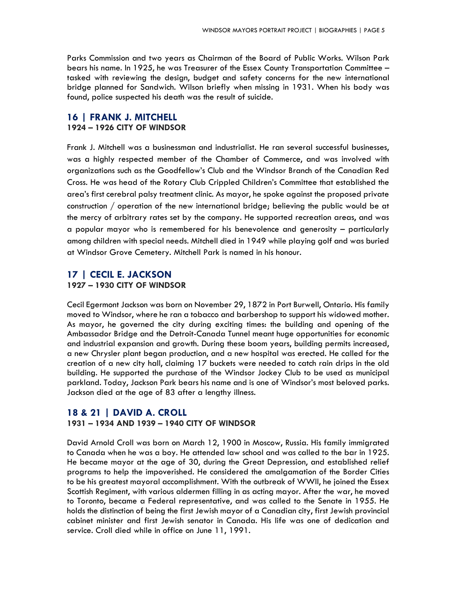Parks Commission and two years as Chairman of the Board of Public Works. Wilson Park bears his name. In 1925, he was Treasurer of the Essex County Transportation Committee – tasked with reviewing the design, budget and safety concerns for the new international bridge planned for Sandwich. Wilson briefly when missing in 1931. When his body was found, police suspected his death was the result of suicide.

## **16 | FRANK J. MITCHELL 1924 – 1926 CITY OF WINDSOR**

Frank J. Mitchell was a businessman and industrialist. He ran several successful businesses, was a highly respected member of the Chamber of Commerce, and was involved with organizations such as the Goodfellow's Club and the Windsor Branch of the Canadian Red Cross. He was head of the Rotary Club Crippled Children's Committee that established the area's first cerebral palsy treatment clinic. As mayor, he spoke against the proposed private construction / operation of the new international bridge; believing the public would be at the mercy of arbitrary rates set by the company. He supported recreation areas, and was a popular mayor who is remembered for his benevolence and generosity – particularly among children with special needs. Mitchell died in 1949 while playing golf and was buried at Windsor Grove Cemetery. Mitchell Park is named in his honour.

## **17 | CECIL E. JACKSON 1927 – 1930 CITY OF WINDSOR**

Cecil Egermont Jackson was born on November 29, 1872 in Port Burwell, Ontario. His family moved to Windsor, where he ran a tobacco and barbershop to support his widowed mother. As mayor, he governed the city during exciting times: the building and opening of the Ambassador Bridge and the Detroit-Canada Tunnel meant huge opportunities for economic and industrial expansion and growth. During these boom years, building permits increased, a new Chrysler plant began production, and a new hospital was erected. He called for the creation of a new city hall, claiming 17 buckets were needed to catch rain drips in the old building. He supported the purchase of the Windsor Jockey Club to be used as municipal parkland. Today, Jackson Park bears his name and is one of Windsor's most beloved parks. Jackson died at the age of 83 after a lengthy illness.

## **18 & 21 | DAVID A. CROLL**

#### **1931 – 1934 AND 1939 – 1940 CITY OF WINDSOR**

David Arnold Croll was born on March 12, 1900 in Moscow, Russia. His family immigrated to Canada when he was a boy. He attended law school and was called to the bar in 1925. He became mayor at the age of 30, during the Great Depression, and established relief programs to help the impoverished. He considered the amalgamation of the Border Cities to be his greatest mayoral accomplishment. With the outbreak of WWII, he joined the Essex Scottish Regiment, with various aldermen filling in as acting mayor. After the war, he moved to Toronto, became a Federal representative, and was called to the Senate in 1955. He holds the distinction of being the first Jewish mayor of a Canadian city, first Jewish provincial cabinet minister and first Jewish senator in Canada. His life was one of dedication and service. Croll died while in office on June 11, 1991.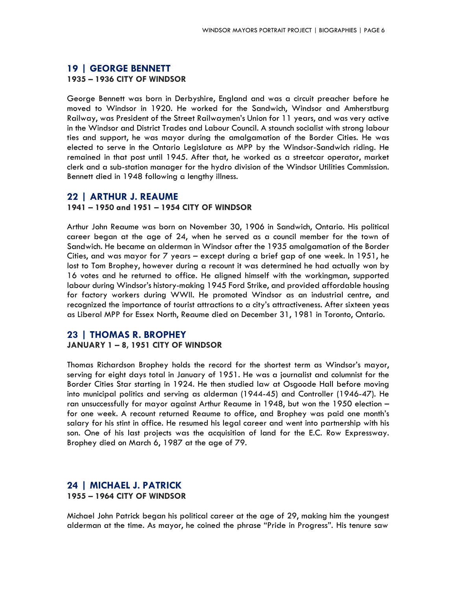#### **19 | GEORGE BENNETT 1935 – 1936 CITY OF WINDSOR**

George Bennett was born in Derbyshire, England and was a circuit preacher before he moved to Windsor in 1920. He worked for the Sandwich, Windsor and Amherstburg Railway, was President of the Street Railwaymen's Union for 11 years, and was very active in the Windsor and District Trades and Labour Council. A staunch socialist with strong labour ties and support, he was mayor during the amalgamation of the Border Cities. He was elected to serve in the Ontario Legislature as MPP by the Windsor-Sandwich riding. He remained in that post until 1945. After that, he worked as a streetcar operator, market clerk and a sub-station manager for the hydro division of the Windsor Utilities Commission. Bennett died in 1948 following a lengthy illness.

#### **22 | ARTHUR J. REAUME**

#### **1941 – 1950 and 1951 – 1954 CITY OF WINDSOR**

Arthur John Reaume was born on November 30, 1906 in Sandwich, Ontario. His political career began at the age of 24, when he served as a council member for the town of Sandwich. He became an alderman in Windsor after the 1935 amalgamation of the Border Cities, and was mayor for 7 years – except during a brief gap of one week. In 1951, he lost to Tom Brophey, however during a recount it was determined he had actually won by 16 votes and he returned to office. He aligned himself with the workingman, supported labour during Windsor's history-making 1945 Ford Strike, and provided affordable housing for factory workers during WWII. He promoted Windsor as an industrial centre, and recognized the importance of tourist attractions to a city's attractiveness. After sixteen yeas as Liberal MPP for Essex North, Reaume died on December 31, 1981 in Toronto, Ontario.

## **23 | THOMAS R. BROPHEY**

#### **JANUARY 1 – 8, 1951 CITY OF WINDSOR**

Thomas Richardson Brophey holds the record for the shortest term as Windsor's mayor, serving for eight days total in January of 1951. He was a journalist and columnist for the Border Cities Star starting in 1924. He then studied law at Osgoode Hall before moving into municipal politics and serving as alderman (1944-45) and Controller (1946-47). He ran unsuccessfully for mayor against Arthur Reaume in 1948, but won the 1950 election – for one week. A recount returned Reaume to office, and Brophey was paid one month's salary for his stint in office. He resumed his legal career and went into partnership with his son. One of his last projects was the acquisition of land for the E.C. Row Expressway. Brophey died on March 6, 1987 at the age of 79.

#### **24 | MICHAEL J. PATRICK 1955 – 1964 CITY OF WINDSOR**

Michael John Patrick began his political career at the age of 29, making him the youngest alderman at the time. As mayor, he coined the phrase "Pride in Progress". His tenure saw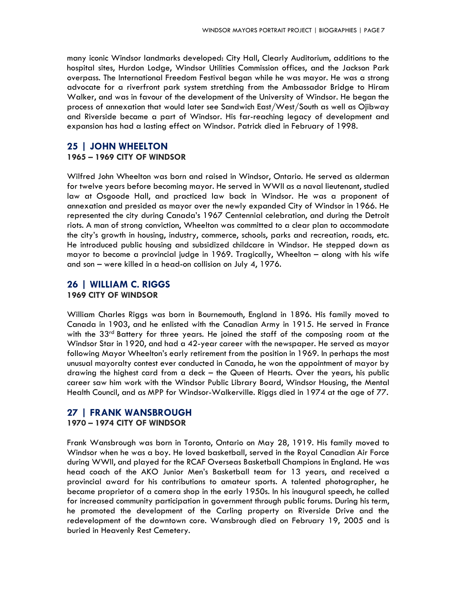many iconic Windsor landmarks developed: City Hall, Clearly Auditorium, additions to the hospital sites, Hurdon Lodge, Windsor Utilities Commission offices, and the Jackson Park overpass. The International Freedom Festival began while he was mayor. He was a strong advocate for a riverfront park system stretching from the Ambassador Bridge to Hiram Walker, and was in favour of the development of the University of Windsor. He began the process of annexation that would later see Sandwich East/West/South as well as Ojibway and Riverside became a part of Windsor. His far-reaching legacy of development and expansion has had a lasting effect on Windsor. Patrick died in February of 1998.

#### **25 | JOHN WHEELTON**

#### **1965 – 1969 CITY OF WINDSOR**

Wilfred John Wheelton was born and raised in Windsor, Ontario. He served as alderman for twelve years before becoming mayor. He served in WWII as a naval lieutenant, studied law at Osgoode Hall, and practiced law back in Windsor. He was a proponent of annexation and presided as mayor over the newly expanded City of Windsor in 1966. He represented the city during Canada's 1967 Centennial celebration, and during the Detroit riots. A man of strong conviction, Wheelton was committed to a clear plan to accommodate the city's growth in housing, industry, commerce, schools, parks and recreation, roads, etc. He introduced public housing and subsidized childcare in Windsor. He stepped down as mayor to become a provincial judge in 1969. Tragically, Wheelton – along with his wife and son – were killed in a head-on collision on July 4, 1976.

#### **26 | WILLIAM C. RIGGS 1969 CITY OF WINDSOR**

William Charles Riggs was born in Bournemouth, England in 1896. His family moved to Canada in 1903, and he enlisted with the Canadian Army in 1915. He served in France with the  $33<sup>rd</sup>$  Battery for three years. He joined the staff of the composing room at the Windsor Star in 1920, and had a 42-year career with the newspaper. He served as mayor following Mayor Wheelton's early retirement from the position in 1969. In perhaps the most unusual mayoralty contest ever conducted in Canada, he won the appointment of mayor by drawing the highest card from a deck – the Queen of Hearts. Over the years, his public career saw him work with the Windsor Public Library Board, Windsor Housing, the Mental Health Council, and as MPP for Windsor-Walkerville. Riggs died in 1974 at the age of 77.

## **27 | FRANK WANSBROUGH**

#### **1970 – 1974 CITY OF WINDSOR**

Frank Wansbrough was born in Toronto, Ontario on May 28, 1919. His family moved to Windsor when he was a boy. He loved basketball, served in the Royal Canadian Air Force during WWII, and played for the RCAF Overseas Basketball Champions in England. He was head coach of the AKO Junior Men's Basketball team for 13 years, and received a provincial award for his contributions to amateur sports. A talented photographer, he became proprietor of a camera shop in the early 1950s. In his inaugural speech, he called for increased community participation in government through public forums. During his term, he promoted the development of the Carling property on Riverside Drive and the redevelopment of the downtown core. Wansbrough died on February 19, 2005 and is buried in Heavenly Rest Cemetery.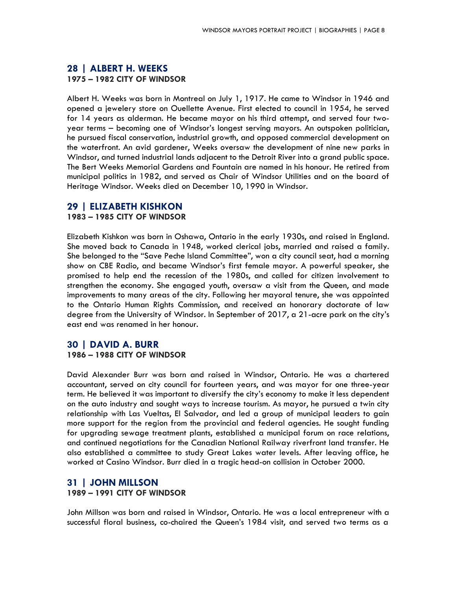## **28 | ALBERT H. WEEKS 1975 – 1982 CITY OF WINDSOR**

Albert H. Weeks was born in Montreal on July 1, 1917. He came to Windsor in 1946 and opened a jewelery store on Ouellette Avenue. First elected to council in 1954, he served for 14 years as alderman. He became mayor on his third attempt, and served four twoyear terms – becoming one of Windsor's longest serving mayors. An outspoken politician, he pursued fiscal conservation, industrial growth, and opposed commercial development on the waterfront. An avid gardener, Weeks oversaw the development of nine new parks in Windsor, and turned industrial lands adjacent to the Detroit River into a grand public space. The Bert Weeks Memorial Gardens and Fountain are named in his honour. He retired from municipal politics in 1982, and served as Chair of Windsor Utilities and on the board of Heritage Windsor. Weeks died on December 10, 1990 in Windsor.

## **29 | ELIZABETH KISHKON**

#### **1983 – 1985 CITY OF WINDSOR**

Elizabeth Kishkon was born in Oshawa, Ontario in the early 1930s, and raised in England. She moved back to Canada in 1948, worked clerical jobs, married and raised a family. She belonged to the "Save Peche Island Committee", won a city council seat, had a morning show on CBE Radio, and became Windsor's first female mayor. A powerful speaker, she promised to help end the recession of the 1980s, and called for citizen involvement to strengthen the economy. She engaged youth, oversaw a visit from the Queen, and made improvements to many areas of the city. Following her mayoral tenure, she was appointed to the Ontario Human Rights Commission, and received an honorary doctorate of law degree from the University of Windsor. In September of 2017, a 21-acre park on the city's east end was renamed in her honour.

## **30 | DAVID A. BURR 1986 – 1988 CITY OF WINDSOR**

David Alexander Burr was born and raised in Windsor, Ontario. He was a chartered accountant, served on city council for fourteen years, and was mayor for one three-year term. He believed it was important to diversify the city's economy to make it less dependent on the auto industry and sought ways to increase tourism. As mayor, he pursued a twin city relationship with Las Vueltas, El Salvador, and led a group of municipal leaders to gain more support for the region from the provincial and federal agencies. He sought funding for upgrading sewage treatment plants, established a municipal forum on race relations, and continued negotiations for the Canadian National Railway riverfront land transfer. He also established a committee to study Great Lakes water levels. After leaving office, he worked at Casino Windsor. Burr died in a tragic head-on collision in October 2000.

## **31 | JOHN MILLSON 1989 – 1991 CITY OF WINDSOR**

John Millson was born and raised in Windsor, Ontario. He was a local entrepreneur with a successful floral business, co-chaired the Queen's 1984 visit, and served two terms as a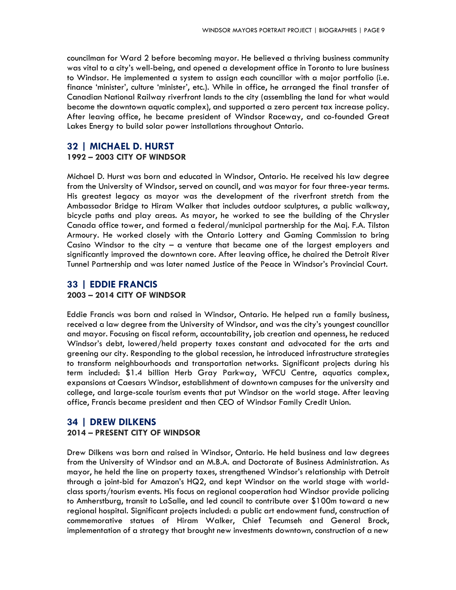councilman for Ward 2 before becoming mayor. He believed a thriving business community was vital to a city's well-being, and opened a development office in Toronto to lure business to Windsor. He implemented a system to assign each councillor with a major portfolio (i.e. finance 'minister', culture 'minister', etc.). While in office, he arranged the final transfer of Canadian National Railway riverfront lands to the city (assembling the land for what would become the downtown aquatic complex), and supported a zero percent tax increase policy. After leaving office, he became president of Windsor Raceway, and co-founded Great Lakes Energy to build solar power installations throughout Ontario.

## **32 | MICHAEL D. HURST**

#### **1992 – 2003 CITY OF WINDSOR**

Michael D. Hurst was born and educated in Windsor, Ontario. He received his law degree from the University of Windsor, served on council, and was mayor for four three-year terms. His greatest legacy as mayor was the development of the riverfront stretch from the Ambassador Bridge to Hiram Walker that includes outdoor sculptures, a public walkway, bicycle paths and play areas. As mayor, he worked to see the building of the Chrysler Canada office tower, and formed a federal/municipal partnership for the Maj. F.A. Tilston Armoury. He worked closely with the Ontario Lottery and Gaming Commission to bring Casino Windsor to the city – a venture that became one of the largest employers and significantly improved the downtown core. After leaving office, he chaired the Detroit River Tunnel Partnership and was later named Justice of the Peace in Windsor's Provincial Court.

## **33 | EDDIE FRANCIS 2003 – 2014 CITY OF WINDSOR**

Eddie Francis was born and raised in Windsor, Ontario. He helped run a family business, received a law degree from the University of Windsor, and was the city's youngest councillor and mayor. Focusing on fiscal reform, accountability, job creation and openness, he reduced Windsor's debt, lowered/held property taxes constant and advocated for the arts and greening our city. Responding to the global recession, he introduced infrastructure strategies to transform neighbourhoods and transportation networks. Significant projects during his term included: \$1.4 billion Herb Gray Parkway, WFCU Centre, aquatics complex, expansions at Caesars Windsor, establishment of downtown campuses for the university and college, and large-scale tourism events that put Windsor on the world stage. After leaving office, Francis became president and then CEO of Windsor Family Credit Union.

## **34 | DREW DILKENS**

#### **2014 – PRESENT CITY OF WINDSOR**

Drew Dilkens was born and raised in Windsor, Ontario. He held business and law degrees from the University of Windsor and an M.B.A. and Doctorate of Business Administration. As mayor, he held the line on property taxes, strengthened Windsor's relationship with Detroit through a joint-bid for Amazon's HQ2, and kept Windsor on the world stage with worldclass sports/tourism events. His focus on regional cooperation had Windsor provide policing to Amherstburg, transit to LaSalle, and led council to contribute over \$100m toward a new regional hospital. Significant projects included: a public art endowment fund, construction of commemorative statues of Hiram Walker, Chief Tecumseh and General Brock, implementation of a strategy that brought new investments downtown, construction of a new